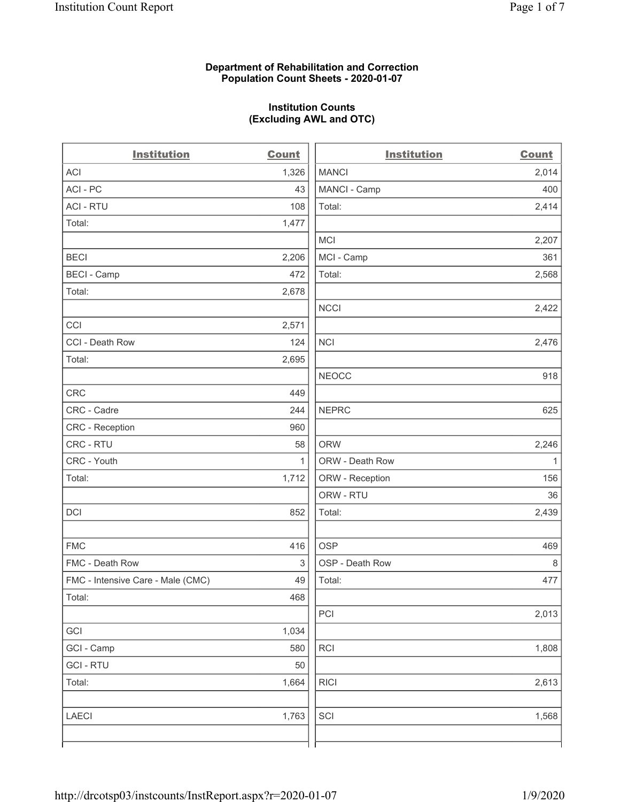### **Department of Rehabilitation and Correction Population Count Sheets - 2020-01-07**

### **Institution Counts (Excluding AWL and OTC)**

 $\overline{a}$ 

| <b>Institution</b>                | <b>Count</b> | <b>Institution</b> | <b>Count</b> |
|-----------------------------------|--------------|--------------------|--------------|
| <b>ACI</b>                        | 1,326        | <b>MANCI</b>       | 2,014        |
| ACI-PC                            | 43           | MANCI - Camp       | 400          |
| <b>ACI - RTU</b>                  | 108          | Total:             | 2,414        |
| Total:                            | 1,477        |                    |              |
|                                   |              | <b>MCI</b>         | 2,207        |
| <b>BECI</b>                       | 2,206        | MCI - Camp         | 361          |
| <b>BECI - Camp</b>                | 472          | Total:             | 2,568        |
| Total:                            | 2,678        |                    |              |
|                                   |              | <b>NCCI</b>        | 2,422        |
| CCI                               | 2,571        |                    |              |
| CCI - Death Row                   | 124          | <b>NCI</b>         | 2,476        |
| Total:                            | 2,695        |                    |              |
|                                   |              | <b>NEOCC</b>       | 918          |
| <b>CRC</b>                        | 449          |                    |              |
| CRC - Cadre                       | 244          | <b>NEPRC</b>       | 625          |
| CRC - Reception                   | 960          |                    |              |
| CRC - RTU                         | 58           | <b>ORW</b>         | 2,246        |
| CRC - Youth                       | $\mathbf{1}$ | ORW - Death Row    | $\mathbf{1}$ |
| Total:                            | 1,712        | ORW - Reception    | 156          |
|                                   |              | ORW - RTU          | 36           |
| DCI                               | 852          | Total:             | 2,439        |
| <b>FMC</b>                        | 416          | <b>OSP</b>         | 469          |
| FMC - Death Row                   | 3            | OSP - Death Row    | $\,8\,$      |
| FMC - Intensive Care - Male (CMC) | 49           | Total:             | 477          |
| Total:                            | 468          |                    |              |
|                                   |              | PCI                | 2,013        |
| GCI                               | 1,034        |                    |              |
| GCI - Camp                        | 580          | RCI                | 1,808        |
| <b>GCI-RTU</b>                    | 50           |                    |              |
| Total:                            | 1,664        | <b>RICI</b>        | 2,613        |
| <b>LAECI</b>                      | 1,763        | SCI                | 1,568        |
|                                   |              |                    |              |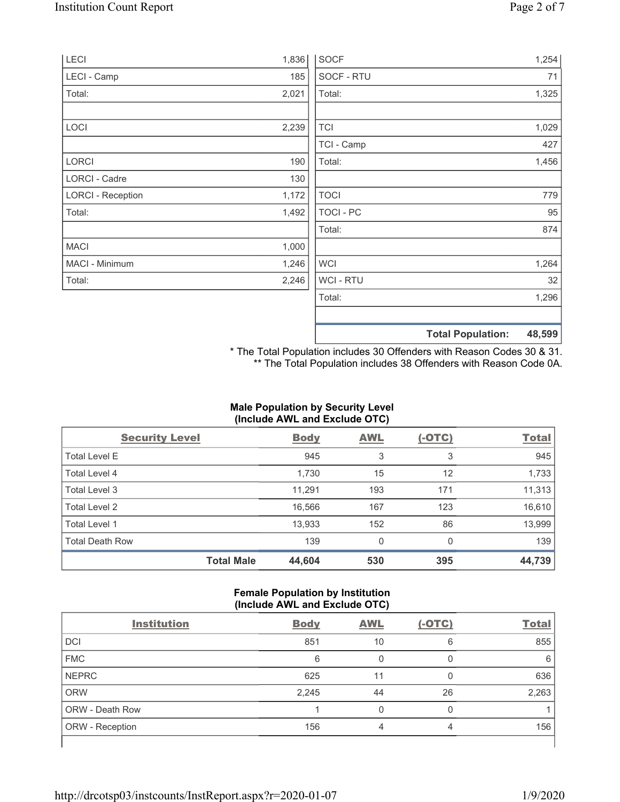| LECI                     | 1,836 | <b>SOCF</b>      | 1,254                              |
|--------------------------|-------|------------------|------------------------------------|
| LECI - Camp              | 185   | SOCF - RTU       | 71                                 |
| Total:                   | 2,021 | Total:           | 1,325                              |
|                          |       |                  |                                    |
| <b>LOCI</b>              | 2,239 | <b>TCI</b>       | 1,029                              |
|                          |       | TCI - Camp       | 427                                |
| LORCI                    | 190   | Total:           | 1,456                              |
| <b>LORCI - Cadre</b>     | 130   |                  |                                    |
| <b>LORCI - Reception</b> | 1,172 | <b>TOCI</b>      | 779                                |
| Total:                   | 1,492 | <b>TOCI - PC</b> | 95                                 |
|                          |       | Total:           | 874                                |
| <b>MACI</b>              | 1,000 |                  |                                    |
| MACI - Minimum           | 1,246 | <b>WCI</b>       | 1,264                              |
| Total:                   | 2,246 | <b>WCI-RTU</b>   | 32                                 |
|                          |       | Total:           | 1,296                              |
|                          |       |                  | 48,599<br><b>Total Population:</b> |

\* The Total Population includes 30 Offenders with Reason Codes 30 & 31. \*\* The Total Population includes 38 Offenders with Reason Code 0A.

## **Male Population by Security Level (Include AWL and Exclude OTC)**

| <b>Security Level</b>  |                   | <b>Body</b> | <b>AWL</b> | $(-OTC)$ | <b>Total</b> |
|------------------------|-------------------|-------------|------------|----------|--------------|
| <b>Total Level E</b>   |                   | 945         | 3          | 3        | 945          |
| Total Level 4          |                   | 1,730       | 15         | 12       | 1,733        |
| Total Level 3          |                   | 11,291      | 193        | 171      | 11,313       |
| Total Level 2          |                   | 16,566      | 167        | 123      | 16,610       |
| Total Level 1          |                   | 13,933      | 152        | 86       | 13,999       |
| <b>Total Death Row</b> |                   | 139         | 0          | $\Omega$ | 139          |
|                        | <b>Total Male</b> | 44,604      | 530        | 395      | 44,739       |

### **Female Population by Institution (Include AWL and Exclude OTC)**

| <b>Institution</b>     | <b>Body</b> | <b>AWL</b> | $(-OTC)$ | <b>Total</b> |
|------------------------|-------------|------------|----------|--------------|
| <b>DCI</b>             | 851         | 10         | 6        | 855          |
| <b>FMC</b>             | 6           |            |          | 6            |
| <b>NEPRC</b>           | 625         | 11         | 0        | 636          |
| <b>ORW</b>             | 2,245       | 44         | 26       | 2,263        |
| <b>ORW - Death Row</b> |             | 0          | 0        |              |
| ORW - Reception        | 156         | 4          | 4        | 156          |
|                        |             |            |          |              |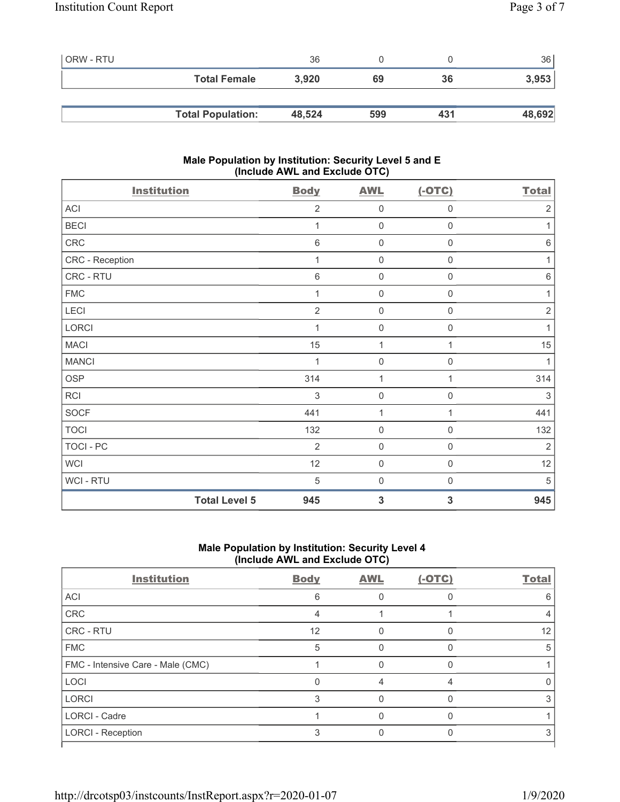| l ORW - RTU |                          | 36     |     |     | 36     |
|-------------|--------------------------|--------|-----|-----|--------|
|             | <b>Total Female</b>      | 3.920  | 69  | 36  | 3,953  |
|             |                          |        |     |     |        |
|             | <b>Total Population:</b> | 48,524 | 599 | 431 | 48,692 |

## **Male Population by Institution: Security Level 5 and E (Include AWL and Exclude OTC)**

| <b>Institution</b>   | <b>Body</b>    | <b>AWL</b>          | $(-OTC)$            | <b>Total</b>   |
|----------------------|----------------|---------------------|---------------------|----------------|
| ACI                  | $\overline{2}$ | $\mathsf{O}\xspace$ | $\mathbf 0$         | $\overline{2}$ |
| <b>BECI</b>          | 1              | $\mathbf 0$         | $\mathbf 0$         | 1              |
| CRC                  | $\,6$          | $\mathbf 0$         | $\mathsf{O}\xspace$ | $6\,$          |
| CRC - Reception      | 1              | $\mathsf{O}\xspace$ | $\mathsf{O}\xspace$ | 1              |
| CRC - RTU            | $\,6\,$        | $\mathsf{O}\xspace$ | $\mathsf{O}\xspace$ | $\,6\,$        |
| <b>FMC</b>           | 1              | $\mathsf{O}\xspace$ | $\mathsf{O}\xspace$ | $\mathbf 1$    |
| LECI                 | $\overline{2}$ | $\mathbf 0$         | $\mathsf{O}\xspace$ | $\sqrt{2}$     |
| <b>LORCI</b>         | 1              | $\mathsf{O}\xspace$ | 0                   | 1              |
| <b>MACI</b>          | 15             | $\mathbf{1}$        | 1                   | 15             |
| <b>MANCI</b>         |                | $\mathbf 0$         | 0                   | 1              |
| <b>OSP</b>           | 314            | 1                   | 1                   | 314            |
| RCI                  | 3              | $\mathsf{O}\xspace$ | 0                   | 3              |
| <b>SOCF</b>          | 441            | 1                   | 1                   | 441            |
| <b>TOCI</b>          | 132            | $\mathbf 0$         | 0                   | 132            |
| TOCI - PC            | $\overline{2}$ | $\mathbf 0$         | $\mathbf 0$         | $\overline{2}$ |
| <b>WCI</b>           | 12             | $\mathbf 0$         | 0                   | 12             |
| WCI - RTU            | 5              | $\mathbf 0$         | $\boldsymbol{0}$    | 5              |
| <b>Total Level 5</b> | 945            | 3                   | 3                   | 945            |

# **Male Population by Institution: Security Level 4 (Include AWL and Exclude OTC)**

| <b>Body</b> | <b>AWL</b> | $(-OTC)$ | <b>Total</b> |
|-------------|------------|----------|--------------|
| 6           |            |          | 6            |
| Δ           |            |          |              |
| 12          |            |          | 12           |
| 5           |            |          | 5            |
|             |            |          |              |
|             |            |          |              |
| 3           |            |          |              |
|             |            |          |              |
|             |            |          |              |
|             |            |          |              |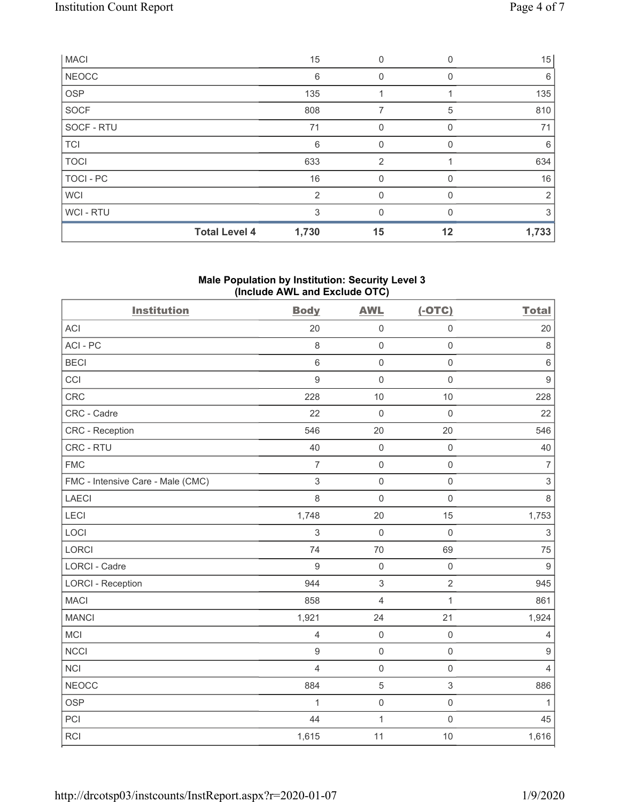|                  | <b>Total Level 4</b> | 1,730          | 15            | 12           | 1,733 |
|------------------|----------------------|----------------|---------------|--------------|-------|
| WCI - RTU        |                      | 3              | 0             |              | 3     |
| <b>WCI</b>       |                      | $\overline{2}$ | $\Omega$      | <sup>0</sup> | 2     |
| <b>TOCI - PC</b> |                      | 16             | 0             | $\Omega$     | 16    |
| <b>TOCI</b>      |                      | 633            | $\mathcal{P}$ |              | 634   |
| <b>TCI</b>       |                      | 6              | 0             | 0            | 6     |
| SOCF - RTU       |                      | 71             | 0             | 0            | 71    |
| <b>SOCF</b>      |                      | 808            | 7             | 5            | 810   |
| <b>OSP</b>       |                      | 135            |               |              | 135   |
| <b>NEOCC</b>     |                      | 6              | 0             |              | 6     |
| <b>MACI</b>      |                      | 15             | 0             |              | 15    |

## **Male Population by Institution: Security Level 3 (Include AWL and Exclude OTC)**

| <b>Institution</b>                | <b>Body</b>              | <b>AWL</b>          | $(-OTC)$       | <b>Total</b>   |
|-----------------------------------|--------------------------|---------------------|----------------|----------------|
| <b>ACI</b>                        | 20                       | $\mathsf 0$         | $\mathsf 0$    | 20             |
| ACI-PC                            | 8                        | $\mathsf{O}\xspace$ | $\mathbf 0$    | 8              |
| <b>BECI</b>                       | 6                        | $\mathsf 0$         | $\mathbf 0$    | $\,6\,$        |
| CCI                               | $\boldsymbol{9}$         | $\mathsf{O}\xspace$ | $\mathbf 0$    | $\overline{9}$ |
| CRC                               | 228                      | 10                  | 10             | 228            |
| CRC - Cadre                       | 22                       | $\mathbf 0$         | $\mathbf 0$    | 22             |
| CRC - Reception                   | 546                      | 20                  | 20             | 546            |
| CRC - RTU                         | 40                       | $\mathsf 0$         | $\mathbf 0$    | 40             |
| <b>FMC</b>                        | $\overline{7}$           | $\mathsf{O}\xspace$ | $\mathbf 0$    | $\overline{7}$ |
| FMC - Intensive Care - Male (CMC) | $\mathsf 3$              | $\mathsf{O}\xspace$ | $\mathbf 0$    | $\mathsf 3$    |
| <b>LAECI</b>                      | 8                        | $\mathbf 0$         | $\mathbf 0$    | 8              |
| LECI                              | 1,748                    | 20                  | 15             | 1,753          |
| LOCI                              | 3                        | $\mathsf{O}\xspace$ | $\mathbf 0$    | $\mathsf 3$    |
| LORCI                             | 74                       | 70                  | 69             | 75             |
| <b>LORCI - Cadre</b>              | 9                        | $\mathsf{O}\xspace$ | $\mathbf 0$    | $\overline{9}$ |
| <b>LORCI - Reception</b>          | 944                      | $\mathsf 3$         | $\overline{2}$ | 945            |
| <b>MACI</b>                       | 858                      | $\overline{4}$      | 1              | 861            |
| <b>MANCI</b>                      | 1,921                    | 24                  | 21             | 1,924          |
| <b>MCI</b>                        | $\overline{4}$           | $\mathsf 0$         | $\mathbf 0$    | $\overline{4}$ |
| <b>NCCI</b>                       | $\boldsymbol{9}$         | $\mathsf{O}\xspace$ | $\mathbf 0$    | $\overline{9}$ |
| <b>NCI</b>                        | $\overline{\mathcal{L}}$ | $\mathsf{O}\xspace$ | $\mathsf 0$    | 4              |
| <b>NEOCC</b>                      | 884                      | 5                   | $\sqrt{3}$     | 886            |
| <b>OSP</b>                        | $\mathbf{1}$             | $\mathsf{O}\xspace$ | $\mathsf{O}$   | $\mathbf{1}$   |
| PCI                               | 44                       | $\overline{1}$      | $\mathbf 0$    | 45             |
| <b>RCI</b>                        | 1,615                    | 11                  | 10             | 1,616          |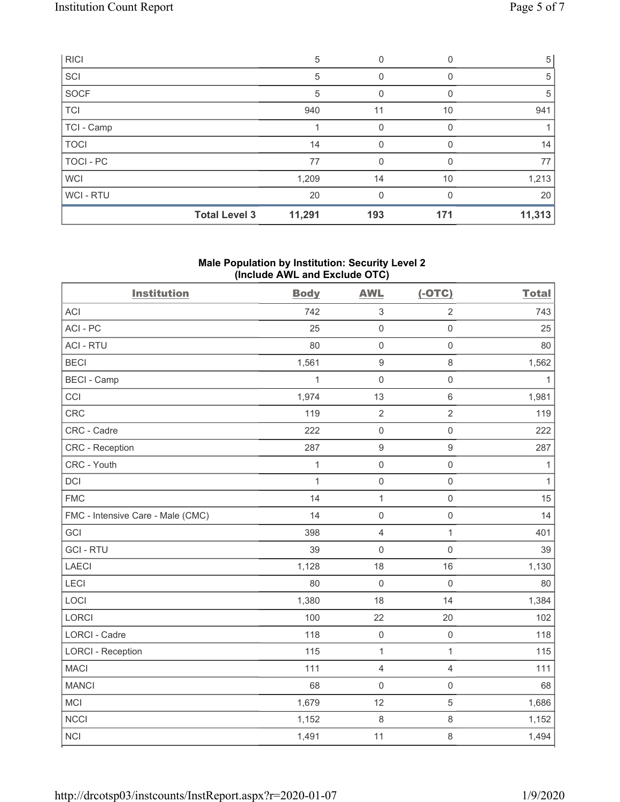| RICI        |                      | 5      | 0           |          | 5 <sup>5</sup> |
|-------------|----------------------|--------|-------------|----------|----------------|
| SCI         |                      | 5      | 0           | O        | 5              |
| SOCF        |                      | 5      | 0           | O        | 5              |
| <b>TCI</b>  |                      | 940    | 11          | 10       | 941            |
| TCI - Camp  |                      |        | 0           |          |                |
| <b>TOCI</b> |                      | 14     | $\mathbf 0$ | 0        | 14             |
| TOCI - PC   |                      | 77     | 0           |          | 77             |
| <b>WCI</b>  |                      | 1,209  | 14          | 10       | 1,213          |
| WCI-RTU     |                      | 20     | $\Omega$    | $\Omega$ | 20             |
|             | <b>Total Level 3</b> | 11,291 | 193         | 171      | 11,313         |

## **Male Population by Institution: Security Level 2 (Include AWL and Exclude OTC)**

| <b>Institution</b>                | <b>Body</b>  | <b>AWL</b>          | $(-OTC)$            | <b>Total</b> |
|-----------------------------------|--------------|---------------------|---------------------|--------------|
| <b>ACI</b>                        | 742          | 3                   | $\overline{2}$      | 743          |
| ACI-PC                            | 25           | $\mathbf 0$         | $\mathsf{O}\xspace$ | 25           |
| <b>ACI - RTU</b>                  | 80           | $\mathbf 0$         | $\mathsf{O}\xspace$ | 80           |
| <b>BECI</b>                       | 1,561        | $\boldsymbol{9}$    | $\,8\,$             | 1,562        |
| <b>BECI - Camp</b>                | $\mathbf{1}$ | $\mathbf 0$         | $\mathsf 0$         | $\mathbf{1}$ |
| CCI                               | 1,974        | 13                  | $\,6\,$             | 1,981        |
| CRC                               | 119          | $\overline{2}$      | $\sqrt{2}$          | 119          |
| CRC - Cadre                       | 222          | $\mathbf 0$         | $\mathbf 0$         | 222          |
| CRC - Reception                   | 287          | $\boldsymbol{9}$    | $\boldsymbol{9}$    | 287          |
| CRC - Youth                       | $\mathbf{1}$ | $\mathbf 0$         | $\mathbf 0$         | 1            |
| DCI                               | $\mathbf{1}$ | $\mathbf 0$         | $\mathsf{O}\xspace$ | $\mathbf{1}$ |
| <b>FMC</b>                        | 14           | $\mathbf 1$         | $\mathbf 0$         | 15           |
| FMC - Intensive Care - Male (CMC) | 14           | $\mathbf 0$         | $\mathsf{O}\xspace$ | 14           |
| GCI                               | 398          | $\overline{4}$      | $\mathbf{1}$        | 401          |
| <b>GCI-RTU</b>                    | 39           | $\mathsf{O}\xspace$ | $\mathbf 0$         | 39           |
| LAECI                             | 1,128        | 18                  | 16                  | 1,130        |
| LECI                              | 80           | $\mathbf 0$         | $\mathbf 0$         | 80           |
| LOCI                              | 1,380        | 18                  | 14                  | 1,384        |
| <b>LORCI</b>                      | 100          | 22                  | 20                  | 102          |
| <b>LORCI - Cadre</b>              | 118          | $\mathbf 0$         | $\mathbf 0$         | 118          |
| <b>LORCI - Reception</b>          | 115          | $\mathbf{1}$        | $\mathbf{1}$        | 115          |
| <b>MACI</b>                       | 111          | $\overline{4}$      | $\overline{4}$      | 111          |
| <b>MANCI</b>                      | 68           | $\mathsf{O}\xspace$ | $\mathbf 0$         | 68           |
| MCI                               | 1,679        | 12                  | $\sqrt{5}$          | 1,686        |
| <b>NCCI</b>                       | 1,152        | $\,8\,$             | $\,8\,$             | 1,152        |
| <b>NCI</b>                        | 1,491        | 11                  | $\,8\,$             | 1,494        |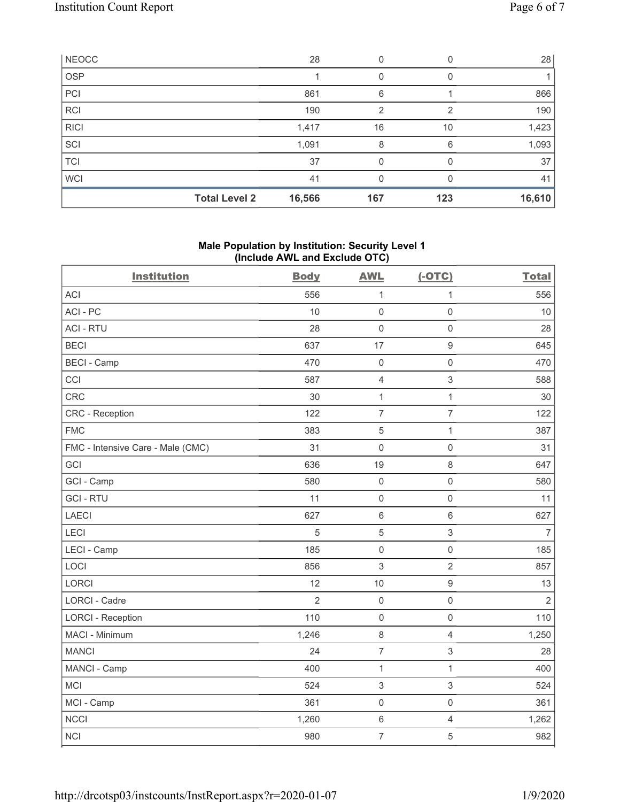| NEOCC       |                      | 28     | 0             |               | 28     |
|-------------|----------------------|--------|---------------|---------------|--------|
| <b>OSP</b>  |                      |        |               |               |        |
| PCI         |                      | 861    | 6             |               | 866    |
| <b>RCI</b>  |                      | 190    | $\mathcal{P}$ | $\mathcal{P}$ | 190    |
| <b>RICI</b> |                      | 1,417  | 16            | 10            | 1,423  |
| SCI         |                      | 1,091  | 8             | 6             | 1,093  |
| <b>TCI</b>  |                      | 37     | 0             |               | 37     |
| <b>WCI</b>  |                      | 41     | 0             |               | 41     |
|             | <b>Total Level 2</b> | 16,566 | 167           | 123           | 16,610 |

## **Male Population by Institution: Security Level 1 (Include AWL and Exclude OTC)**

| <b>Institution</b>                | <b>Body</b>    | <b>AWL</b>          | $(-OTC)$            | <b>Total</b>   |
|-----------------------------------|----------------|---------------------|---------------------|----------------|
| <b>ACI</b>                        | 556            | $\mathbf{1}$        | $\mathbf{1}$        | 556            |
| ACI-PC                            | 10             | $\mathbf 0$         | $\mathbf 0$         | 10             |
| <b>ACI - RTU</b>                  | 28             | $\mathsf 0$         | $\mathsf{O}\xspace$ | 28             |
| <b>BECI</b>                       | 637            | 17                  | $\boldsymbol{9}$    | 645            |
| <b>BECI - Camp</b>                | 470            | $\mathbf 0$         | $\mathbf 0$         | 470            |
| CCI                               | 587            | $\overline{4}$      | 3                   | 588            |
| CRC                               | 30             | $\mathbf{1}$        | $\mathbf{1}$        | 30             |
| CRC - Reception                   | 122            | $\overline{7}$      | $\overline{7}$      | 122            |
| <b>FMC</b>                        | 383            | $\sqrt{5}$          | $\mathbf{1}$        | 387            |
| FMC - Intensive Care - Male (CMC) | 31             | $\mathbf 0$         | $\mathbf 0$         | 31             |
| GCI                               | 636            | 19                  | 8                   | 647            |
| GCI - Camp                        | 580            | $\mathsf 0$         | $\mathsf{O}\xspace$ | 580            |
| <b>GCI-RTU</b>                    | 11             | $\mathsf{O}\xspace$ | $\mathsf{O}\xspace$ | 11             |
| <b>LAECI</b>                      | 627            | $\,6\,$             | $\,6\,$             | 627            |
| LECI                              | 5              | $\sqrt{5}$          | 3                   | $\overline{7}$ |
| LECI - Camp                       | 185            | $\mathsf 0$         | $\mathsf{O}\xspace$ | 185            |
| LOCI                              | 856            | $\sqrt{3}$          | $\overline{c}$      | 857            |
| <b>LORCI</b>                      | 12             | 10                  | $\boldsymbol{9}$    | 13             |
| LORCI - Cadre                     | $\overline{2}$ | $\mathbf 0$         | $\mathsf{O}\xspace$ | $\overline{2}$ |
| <b>LORCI - Reception</b>          | 110            | $\mathbf 0$         | $\mathsf{O}\xspace$ | 110            |
| MACI - Minimum                    | 1,246          | $\,8\,$             | $\overline{4}$      | 1,250          |
| <b>MANCI</b>                      | 24             | $\overline{7}$      | $\mathfrak{S}$      | 28             |
| MANCI - Camp                      | 400            | $\mathbf{1}$        | $\mathbf{1}$        | 400            |
| <b>MCI</b>                        | 524            | $\sqrt{3}$          | 3                   | 524            |
| MCI - Camp                        | 361            | $\mathsf{O}\xspace$ | $\mathsf{O}\xspace$ | 361            |
| <b>NCCI</b>                       | 1,260          | $\,6\,$             | $\overline{4}$      | 1,262          |
| <b>NCI</b>                        | 980            | $\overline{7}$      | 5                   | 982            |